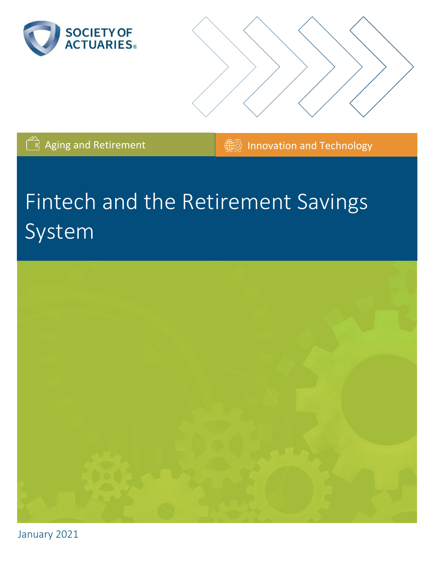



**Aging and Retirement Innovation and Technology** 

# Fintech and the Retirement Savings System



January 2021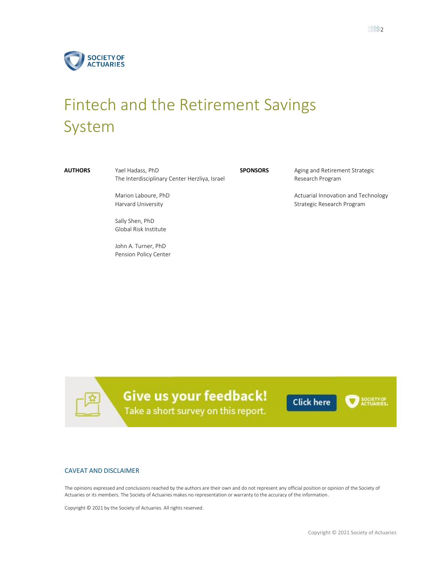

# Fintech and the Retirement Savings System

**AUTHORS** Yael Hadass, PhD The Interdisciplinary Center Herzliya, Israel

> Marion Laboure, PhD Harvard University

Sally Shen, PhD Global Risk Institute

John A. Turner, PhD Pension Policy Center **SPONSORS** Aging and Retirement Strategic Research Program

> Actuarial Innovation and Technology Strategic Research Program

Give us your feedback! Take a short survey on this report.

**Click here** 

#### CAVEAT AND DISCLAIMER

The opinions expressed and conclusions reached by the authors are their own and do not represent any official position or opinion of the Society of Actuaries or its members. The Society of Actuaries makes no representation or warranty to the accuracy of the information.

Copyright © 2021 by the Society of Actuaries. All rights reserved.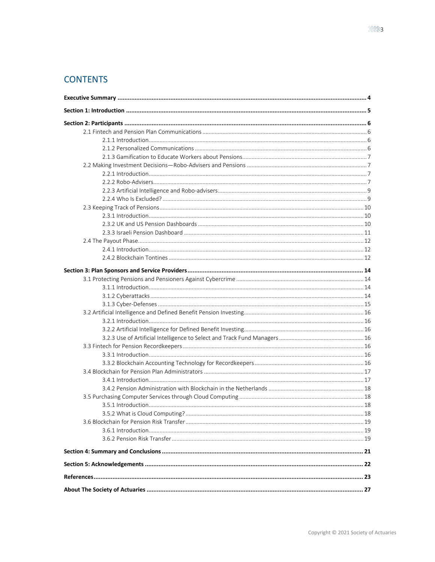# **CONTENTS**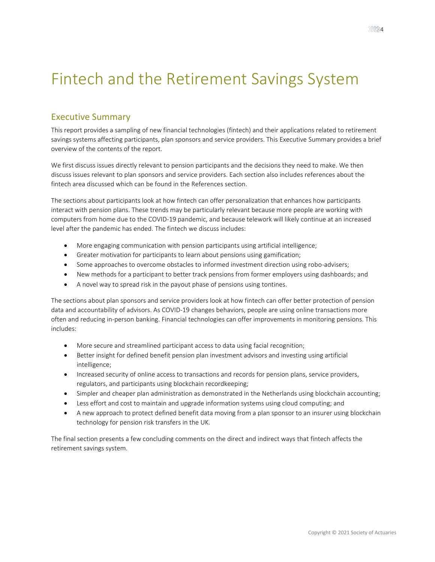# <span id="page-3-0"></span>Fintech and the Retirement Savings System

## Executive Summary

This report provides a sampling of new financial technologies (fintech) and their applications related to retirement savings systems affecting participants, plan sponsors and service providers. This Executive Summary provides a brief overview of the contents of the report.

We first discuss issues directly relevant to pension participants and the decisions they need to make. We then discuss issues relevant to plan sponsors and service providers. Each section also includes references about the fintech area discussed which can be found in the References section.

The sections about participants look at how fintech can offer personalization that enhances how participants interact with pension plans. These trends may be particularly relevant because more people are working with computers from home due to the COVID-19 pandemic, and because telework will likely continue at an increased level after the pandemic has ended. The fintech we discuss includes:

- More engaging communication with pension participants using artificial intelligence;
- Greater motivation for participants to learn about pensions using gamification;
- Some approaches to overcome obstacles to informed investment direction using robo-advisers;
- New methods for a participant to better track pensions from former employers using dashboards; and
- A novel way to spread risk in the payout phase of pensions using tontines.

The sections about plan sponsors and service providers look at how fintech can offer better protection of pension data and accountability of advisors. As COVID-19 changes behaviors, people are using online transactions more often and reducing in-person banking. Financial technologies can offer improvements in monitoring pensions. This includes:

- More secure and streamlined participant access to data using facial recognition;
- Better insight for defined benefit pension plan investment advisors and investing using artificial intelligence;
- Increased security of online access to transactions and records for pension plans, service providers, regulators, and participants using blockchain recordkeeping;
- Simpler and cheaper plan administration as demonstrated in the Netherlands using blockchain accounting;
- Less effort and cost to maintain and upgrade information systems using cloud computing; and
- A new approach to protect defined benefit data moving from a plan sponsor to an insurer using blockchain technology for pension risk transfers in the UK.

The final section presents a few concluding comments on the direct and indirect ways that fintech affects the retirement savings system.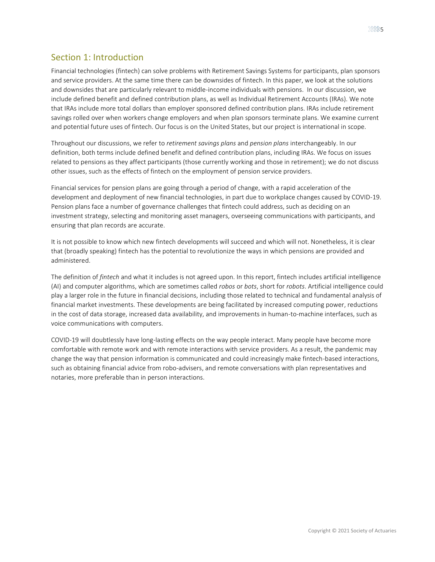# <span id="page-4-0"></span>Section 1: Introduction

Financial technologies (fintech) can solve problems with Retirement Savings Systems for participants, plan sponsors and service providers. At the same time there can be downsides of fintech. In this paper, we look at the solutions and downsides that are particularly relevant to middle-income individuals with pensions. In our discussion, we include defined benefit and defined contribution plans, as well as Individual Retirement Accounts (IRAs). We note that IRAs include more total dollars than employer sponsored defined contribution plans. IRAs include retirement savings rolled over when workers change employers and when plan sponsors terminate plans. We examine current and potential future uses of fintech. Our focus is on the United States, but our project is international in scope.

Throughout our discussions, we refer to *retirement savings plans* and *pension plans* interchangeably. In our definition, both terms include defined benefit and defined contribution plans, including IRAs. We focus on issues related to pensions as they affect participants (those currently working and those in retirement); we do not discuss other issues, such as the effects of fintech on the employment of pension service providers.

Financial services for pension plans are going through a period of change, with a rapid acceleration of the development and deployment of new financial technologies, in part due to workplace changes caused by COVID-19. Pension plans face a number of governance challenges that fintech could address, such as deciding on an investment strategy, selecting and monitoring asset managers, overseeing communications with participants, and ensuring that plan records are accurate.

It is not possible to know which new fintech developments will succeed and which will not. Nonetheless, it is clear that (broadly speaking) fintech has the potential to revolutionize the ways in which pensions are provided and administered.

The definition of *fintech* and what it includes is not agreed upon. In this report, fintech includes artificial intelligence (AI) and computer algorithms, which are sometimes called *robos* or *bots*, short for *robots*. Artificial intelligence could play a larger role in the future in financial decisions, including those related to technical and fundamental analysis of financial market investments. These developments are being facilitated by increased computing power, reductions in the cost of data storage, increased data availability, and improvements in human-to-machine interfaces, such as voice communications with computers.

COVID-19 will doubtlessly have long-lasting effects on the way people interact. Many people have become more comfortable with remote work and with remote interactions with service providers. As a result, the pandemic may change the way that pension information is communicated and could increasingly make fintech-based interactions, such as obtaining financial advice from robo-advisers, and remote conversations with plan representatives and notaries, more preferable than in person interactions.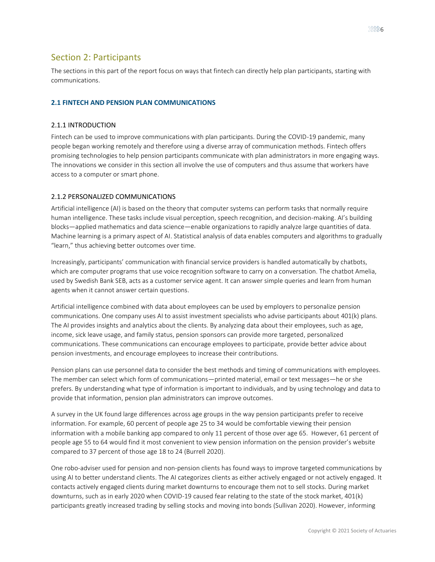### <span id="page-5-0"></span>Section 2: Participants

The sections in this part of the report focus on ways that fintech can directly help plan participants, starting with communications.

#### <span id="page-5-2"></span><span id="page-5-1"></span>**2.1 FINTECH AND PENSION PLAN COMMUNICATIONS**

#### 2.1.1 INTRODUCTION

Fintech can be used to improve communications with plan participants. During the COVID-19 pandemic, many people began working remotely and therefore using a diverse array of communication methods. Fintech offers promising technologies to help pension participants communicate with plan administrators in more engaging ways. The innovations we consider in this section all involve the use of computers and thus assume that workers have access to a computer or smart phone.

#### <span id="page-5-3"></span>2.1.2 PERSONALIZED COMMUNICATIONS

Artificial intelligence (AI) is based on the theory that computer systems can perform tasks that normally require human intelligence. These tasks include visual perception, speech recognition, and decision-making. AI's building blocks—applied mathematics and data science—enable organizations to rapidly analyze large quantities of data. Machine learning is a primary aspect of AI. Statistical analysis of data enables computers and algorithms to gradually "learn," thus achieving better outcomes over time.

Increasingly, participants' communication with financial service providers is handled automatically by chatbots, which are computer programs that use voice recognition software to carry on a conversation. The chatbot Amelia, used by Swedish Bank SEB, acts as a customer service agent. It can answer simple queries and learn from human agents when it cannot answer certain questions.

Artificial intelligence combined with data about employees can be used by employers to personalize pension communications. One company uses AI to assist investment specialists who advise participants about 401(k) plans. The AI provides insights and analytics about the clients. By analyzing data about their employees, such as age, income, sick leave usage, and family status, pension sponsors can provide more targeted, personalized communications. These communications can encourage employees to participate, provide better advice about pension investments, and encourage employees to increase their contributions.

Pension plans can use personnel data to consider the best methods and timing of communications with employees. The member can select which form of communications—printed material, email or text messages—he or she prefers. By understanding what type of information is important to individuals, and by using technology and data to provide that information, pension plan administrators can improve outcomes.

A survey in the UK found large differences across age groups in the way pension participants prefer to receive information. For example, 60 percent of people age 25 to 34 would be comfortable viewing their pension information with a mobile banking app compared to only 11 percent of those over age 65. However, 61 percent of people age 55 to 64 would find it most convenient to view pension information on the pension provider's website compared to 37 percent of those age 18 to 24 (Burrell 2020).

One robo-adviser used for pension and non-pension clients has found ways to improve targeted communications by using AI to better understand clients. The AI categorizes clients as either actively engaged or not actively engaged. It contacts actively engaged clients during market downturns to encourage them not to sell stocks. During market downturns, such as in early 2020 when COVID-19 caused fear relating to the state of the stock market, 401(k) participants greatly increased trading by selling stocks and moving into bonds (Sullivan 2020). However, informing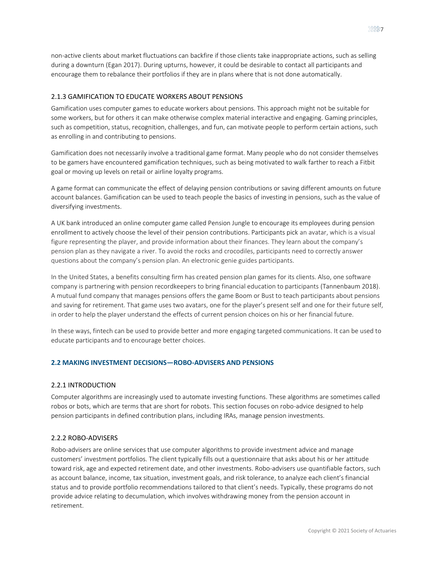non-active clients about market fluctuations can backfire if those clients take inappropriate actions, such as selling during a downturn (Egan 2017). During upturns, however, it could be desirable to contact all participants and encourage them to rebalance their portfolios if they are in plans where that is not done automatically.

#### <span id="page-6-0"></span>2.1.3 GAMIFICATION TO EDUCATE WORKERS ABOUT PENSIONS

Gamification uses computer games to educate workers about pensions. This approach might not be suitable for some workers, but for others it can make otherwise complex material interactive and engaging. Gaming principles, such as competition, status, recognition, challenges, and fun, can motivate people to perform certain actions, such as enrolling in and contributing to pensions.

Gamification does not necessarily involve a traditional game format. Many people who do not consider themselves to be gamers have encountered gamification techniques, such as being motivated to walk farther to reach a Fitbit goal or moving up levels on retail or airline loyalty programs.

A game format can communicate the effect of delaying pension contributions or saving different amounts on future account balances. Gamification can be used to teach people the basics of investing in pensions, such as the value of diversifying investments.

A UK bank introduced an online computer game called Pension Jungle to encourage its employees during pension enrollment to actively choose the level of their pension contributions. Participants pick an avatar, which is a visual figure representing the player, and provide information about their finances. They learn about the company's pension plan as they navigate a river. To avoid the rocks and crocodiles, participants need to correctly answer questions about the company's pension plan. An electronic genie guides participants.

In the United States, a benefits consulting firm has created pension plan games for its clients. Also, one software company is partnering with pension recordkeepers to bring financial education to participants (Tannenbaum 2018). A mutual fund company that manages pensions offers the game Boom or Bust to teach participants about pensions and saving for retirement. That game uses two avatars, one for the player's present self and one for their future self, in order to help the player understand the effects of current pension choices on his or her financial future.

In these ways, fintech can be used to provide better and more engaging targeted communications. It can be used to educate participants and to encourage better choices.

#### <span id="page-6-2"></span><span id="page-6-1"></span>**2.2 MAKING INVESTMENT DECISIONS—ROBO-ADVISERS AND PENSIONS**

#### 2.2.1 INTRODUCTION

Computer algorithms are increasingly used to automate investing functions. These algorithms are sometimes called robos or bots, which are terms that are short for robots. This section focuses on robo-advice designed to help pension participants in defined contribution plans, including IRAs, manage pension investments.

#### <span id="page-6-3"></span>2.2.2 ROBO-ADVISERS

Robo-advisers are online services that use computer algorithms to provide investment advice and manage customers' investment portfolios. The client typically fills out a questionnaire that asks about his or her attitude toward risk, age and expected retirement date, and other investments. Robo-advisers use quantifiable factors, such as account balance, income, tax situation, investment goals, and risk tolerance, to analyze each client's financial status and to provide portfolio recommendations tailored to that client's needs. Typically, these programs do not provide advice relating to decumulation, which involves withdrawing money from the pension account in retirement.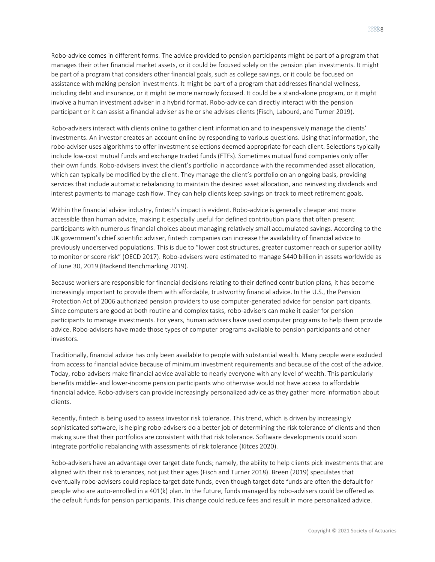Robo-advice comes in different forms. The advice provided to pension participants might be part of a program that manages their other financial market assets, or it could be focused solely on the pension plan investments. It might be part of a program that considers other financial goals, such as college savings, or it could be focused on assistance with making pension investments. It might be part of a program that addresses financial wellness, including debt and insurance, or it might be more narrowly focused. It could be a stand-alone program, or it might involve a human investment adviser in a hybrid format. Robo-advice can directly interact with the pension participant or it can assist a financial adviser as he or she advises clients (Fisch, Labouré, and Turner 2019).

Robo-advisers interact with clients online to gather client information and to inexpensively manage the clients' investments. An investor creates an account online by responding to various questions. Using that information, the robo-adviser uses algorithms to offer investment selections deemed appropriate for each client. Selections typically include low-cost mutual funds and exchange traded funds (ETFs). Sometimes mutual fund companies only offer their own funds. Robo-advisers invest the client's portfolio in accordance with the recommended asset allocation, which can typically be modified by the client. They manage the client's portfolio on an ongoing basis, providing services that include automatic rebalancing to maintain the desired asset allocation, and reinvesting dividends and interest payments to manage cash flow. They can help clients keep savings on track to meet retirement goals.

Within the financial advice industry, fintech's impact is evident. Robo-advice is generally cheaper and more accessible than human advice, making it especially useful for defined contribution plans that often present participants with numerous financial choices about managing relatively small accumulated savings. According to the UK government's chief scientific adviser, fintech companies can increase the availability of financial advice to previously underserved populations. This is due to "lower cost structures, greater customer reach or superior ability to monitor or score risk" (OECD 2017). Robo-advisers were estimated to manage \$440 billion in assets worldwide as of June 30, 2019 (Backend Benchmarking 2019).

Because workers are responsible for financial decisions relating to their defined contribution plans, it has become increasingly important to provide them with affordable, trustworthy financial advice. In the U.S., the Pension Protection Act of 2006 authorized pension providers to use computer-generated advice for pension participants. Since computers are good at both routine and complex tasks, robo-advisers can make it easier for pension participants to manage investments. For years, human advisers have used computer programs to help them provide advice. Robo-advisers have made those types of computer programs available to pension participants and other investors.

Traditionally, financial advice has only been available to people with substantial wealth. Many people were excluded from access to financial advice because of minimum investment requirements and because of the cost of the advice. Today, robo-advisers make financial advice available to nearly everyone with any level of wealth. This particularly benefits middle- and lower-income pension participants who otherwise would not have access to affordable financial advice. Robo-advisers can provide increasingly personalized advice as they gather more information about clients.

Recently, fintech is being used to assess investor risk tolerance. This trend, which is driven by increasingly sophisticated software, is helping robo-advisers do a better job of determining the risk tolerance of clients and then making sure that their portfolios are consistent with that risk tolerance. Software developments could soon integrate portfolio rebalancing with assessments of risk tolerance (Kitces 2020).

Robo-advisers have an advantage over target date funds; namely, the ability to help clients pick investments that are aligned with their risk tolerances, not just their ages (Fisch and Turner 2018). Breen (2019) speculates that eventually robo-advisers could replace target date funds, even though target date funds are often the default for people who are auto-enrolled in a 401(k) plan. In the future, funds managed by robo-advisers could be offered as the default funds for pension participants. This change could reduce fees and result in more personalized advice.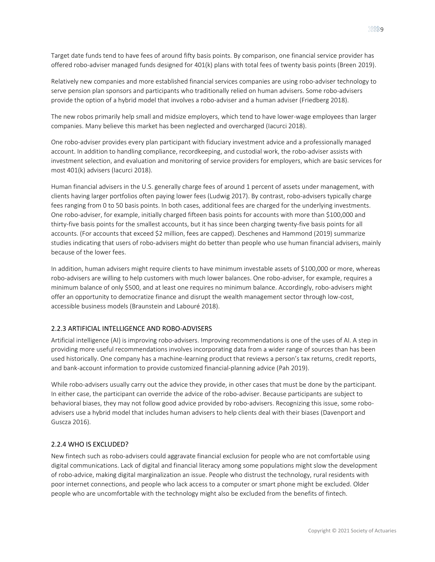Relatively new companies and more established financial services companies are using robo-adviser technology to serve pension plan sponsors and participants who traditionally relied on human advisers. Some robo-advisers provide the option of a hybrid model that involves a robo-adviser and a human adviser (Friedberg 2018).

The new robos primarily help small and midsize employers, which tend to have lower-wage employees than larger companies. Many believe this market has been neglected and overcharged (Iacurci 2018).

One robo-adviser provides every plan participant with fiduciary investment advice and a professionally managed account. In addition to handling compliance, recordkeeping, and custodial work, the robo-adviser assists with investment selection, and evaluation and monitoring of service providers for employers, which are basic services for most 401(k) advisers (Iacurci 2018).

Human financial advisers in the U.S. generally charge fees of around 1 percent of assets under management, with clients having larger portfolios often paying lower fees (Ludwig 2017). By contrast, robo-advisers typically charge fees ranging from 0 to 50 basis points. In both cases, additional fees are charged for the underlying investments. One robo-adviser, for example, initially charged fifteen basis points for accounts with more than \$100,000 and thirty-five basis points for the smallest accounts, but it has since been charging twenty-five basis points for all accounts. (For accounts that exceed \$2 million, fees are capped). Deschenes and Hammond (2019) summarize studies indicating that users of robo-advisers might do better than people who use human financial advisers, mainly because of the lower fees.

In addition, human advisers might require clients to have minimum investable assets of \$100,000 or more, whereas robo-advisers are willing to help customers with much lower balances. One robo-adviser, for example, requires a minimum balance of only \$500, and at least one requires no minimum balance. Accordingly, robo-advisers might offer an opportunity to democratize finance and disrupt the wealth management sector through low-cost, accessible business models (Braunstein and Labouré 2018).

#### <span id="page-8-0"></span>2.2.3 ARTIFICIAL INTELLIGENCE AND ROBO-ADVISERS

Artificial intelligence (AI) is improving robo-advisers. Improving recommendations is one of the uses of AI. A step in providing more useful recommendations involves incorporating data from a wider range of sources than has been used historically. One company has a machine-learning product that reviews a person's tax returns, credit reports, and bank-account information to provide customized financial-planning advice (Pah 2019).

While robo-advisers usually carry out the advice they provide, in other cases that must be done by the participant. In either case, the participant can override the advice of the robo-adviser. Because participants are subject to behavioral biases, they may not follow good advice provided by robo-advisers. Recognizing this issue, some roboadvisers use a hybrid model that includes human advisers to help clients deal with their biases (Davenport and Guscza 2016).

#### <span id="page-8-1"></span>2.2.4 WHO IS EXCLUDED?

New fintech such as robo-advisers could aggravate financial exclusion for people who are not comfortable using digital communications. Lack of digital and financial literacy among some populations might slow the development of robo-advice, making digital marginalization an issue. People who distrust the technology, rural residents with poor internet connections, and people who lack access to a computer or smart phone might be excluded. Older people who are uncomfortable with the technology might also be excluded from the benefits of fintech.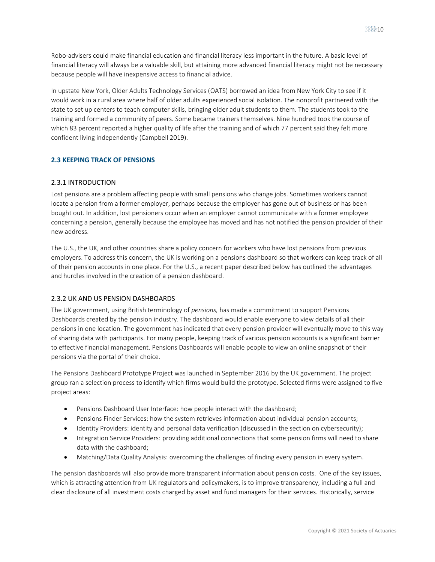Robo-advisers could make financial education and financial literacy less important in the future. A basic level of financial literacy will always be a valuable skill, but attaining more advanced financial literacy might not be necessary because people will have inexpensive access to financial advice.

In upstate New York, Older Adults Technology Services [\(OATS\)](https://oats.org/) borrowed an idea from New York City to see if it would work in a rural area where half of older adults experienced social isolation. The nonprofit partnered with the state to set up centers to teach computer skills, bringing older adult students to them. The students took to the training and formed a community of peers. Some became trainers themselves. Nine hundred took the course of which 83 percent reported a higher quality of life after the training and of which 77 percent said they felt more confident living independently (Campbell 2019).

#### <span id="page-9-0"></span>**2.3 KEEPING TRACK OF PENSIONS**

#### <span id="page-9-1"></span>2.3.1 INTRODUCTION

Lost pensions are a problem affecting people with small pensions who change jobs. Sometimes workers cannot locate a pension from a former employer, perhaps because the employer has gone out of business or has been bought out. In addition, lost pensioners occur when an employer cannot communicate with a former employee concerning a pension, generally because the employee has moved and has not notified the pension provider of their new address.

The U.S., the UK, and other countries share a policy concern for workers who have lost pensions from previous employers. To address this concern, the UK is working on a pensions dashboard so that workers can keep track of all of their pension accounts in one place. For the U.S., a recent paper described below has outlined the advantages and hurdles involved in the creation of a pension dashboard.

#### <span id="page-9-2"></span>2.3.2 UK AND US PENSION DASHBOARDS

The UK government, using British terminology of *pensions,* has made a commitment to support Pensions Dashboards created by the pension industry. The dashboard would enable everyone to view details of all their pensions in one location. The government has indicated that every pension provider will eventually move to this way of sharing data with participants. For many people, keeping track of various pension accounts is a significant barrier to effective financial management. Pensions Dashboards will enable people to view an online snapshot of their pensions via the portal of their choice.

The Pensions Dashboard Prototype Project was launched in September 2016 by the UK government. The project group ran a selection process to identify which firms would build the prototype. Selected firms were assigned to five project areas:

- Pensions Dashboard User Interface: how people interact with the dashboard;
- Pensions Finder Services: how the system retrieves information about individual pension accounts;
- Identity Providers: identity and personal data verification (discussed in the section on cybersecurity);
- Integration Service Providers: providing additional connections that some pension firms will need to share data with the dashboard;
- Matching/Data Quality Analysis: overcoming the challenges of finding every pension in every system.

The pension dashboards will also provide more transparent information about pension costs. One of the key issues, which is attracting attention from UK regulators and policymakers, is to improve transparency, including a full and clear disclosure of all investment costs charged by asset and fund managers for their services. Historically, service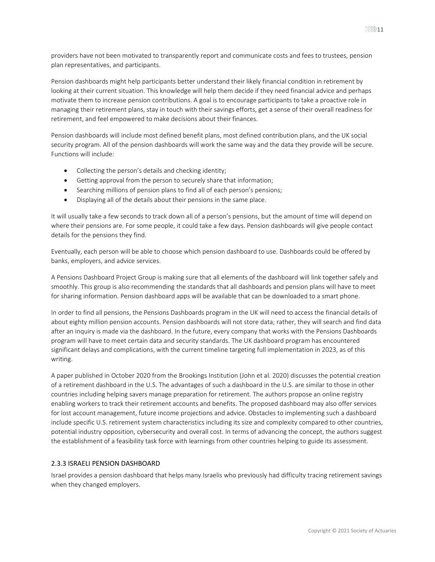providers have not been motivated to transparently report and communicate costs and fees to trustees, pension plan representatives, and participants.

Pension dashboards might help participants better understand their likely financial condition in retirement by looking at their current situation. This knowledge will help them decide if they need financial advice and perhaps motivate them to increase pension contributions. A goal is to encourage participants to take a proactive role in managing their retirement plans, stay in touch with their savings efforts, get a sense of their overall readiness for retirement, and feel empowered to make decisions about their finances.

Pension dashboards will include most defined benefit plans, most defined contribution plans, and the UK social security program. All of the pension dashboards will work the same way and the data they provide will be secure. Functions will include:

- Collecting the person's details and checking identity;
- Getting approval from the person to securely share that information;
- Searching millions of pension plans to find all of each person's pensions;
- Displaying all of the details about their pensions in the same place.

It will usually take a few seconds to track down all of a person's pensions, but the amount of time will depend on where their pensions are. For some people, it could take a few days. Pension dashboards will give people contact details for the pensions they find.

Eventually, each person will be able to choose which pension dashboard to use. Dashboards could be offered by banks, employers, and advice services.

A Pensions Dashboard Project Group is making sure that all elements of the dashboard will link together safely and smoothly. This group is also recommending the standards that all dashboards and pension plans will have to meet for sharing information. Pension dashboard apps will be available that can be downloaded to a smart phone.

In order to find all pensions, the Pensions Dashboards program in the UK will need to access the financial details of about eighty million pension accounts. Pension dashboards will not store data; rather, they will search and find data after an inquiry is made via the dashboard. In the future, every company that works with the Pensions Dashboards program will have to meet certain data and security standards. The UK dashboard program has encountered significant delays and complications, with the current timeline targeting full implementation in 2023, as of this writing.

A paper published in October 2020 from the Brookings Institution (John et al. 2020) discusses the potential creation of a retirement dashboard in the U.S. The advantages of such a dashboard in the U.S. are similar to those in other countries including helping savers manage preparation for retirement. The authors propose an online registry enabling workers to track their retirement accounts and benefits. The proposed dashboard may also offer services for lost account management, future income projections and advice. Obstacles to implementing such a dashboard include specific U.S. retirement system characteristics including its size and complexity compared to other countries, potential industry opposition, cybersecurity and overall cost. In terms of advancing the concept, the authors suggest the establishment of a feasibility task force with learnings from other countries helping to guide its assessment.

#### <span id="page-10-0"></span>2.3.3 ISRAELI PENSION DASHBOARD

Israel provides a pension dashboard that helps many Israelis who previously had difficulty tracing retirement savings when they changed employers.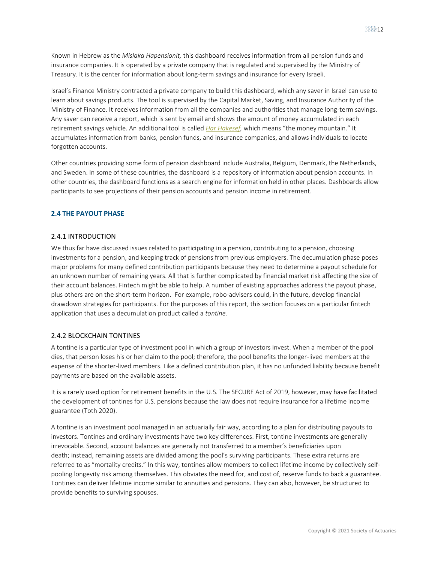Known in Hebrew as the *Mislaka Hapensionit,* this dashboard receives information from all pension funds and insurance companies. It is operated by a private company that is regulated and supervised by the Ministry of Treasury. It is the center for information about long-term savings and insurance for every Israeli.

Israel's Finance Ministry contracted a private company to build this dashboard, which any saver in Israel can use to learn about savings products. The tool is supervised by the Capital Market, Saving, and Insurance Authority of the Ministry of Finance. It receives information from all the companies and authorities that manage long-term savings. Any saver can receive a report, which is sent by email and shows the amount of money accumulated in each retirement savings vehicle. An additional tool is called *[Har Hakesef,](https://itur.mof.gov.il/#/main/landing)* which means "the money mountain." It accumulates information from banks, pension funds, and insurance companies, and allows individuals to locate forgotten accounts.

Other countries providing some form of pension dashboard include Australia, Belgium, Denmark, the Netherlands, and Sweden. In some of these countries, the dashboard is a repository of information about pension accounts. In other countries, the dashboard functions as a search engine for information held in other places. Dashboards allow participants to see projections of their pension accounts and pension income in retirement.

#### <span id="page-11-1"></span><span id="page-11-0"></span>**2.4 THE PAYOUT PHASE**

#### 2.4.1 INTRODUCTION

We thus far have discussed issues related to participating in a pension, contributing to a pension, choosing investments for a pension, and keeping track of pensions from previous employers. The decumulation phase poses major problems for many defined contribution participants because they need to determine a payout schedule for an unknown number of remaining years. All that is further complicated by financial market risk affecting the size of their account balances. Fintech might be able to help. A number of existing approaches address the payout phase, plus others are on the short-term horizon. For example, robo-advisers could, in the future, develop financial drawdown strategies for participants. For the purposes of this report, this section focuses on a particular fintech application that uses a decumulation product called a *tontine.*

#### <span id="page-11-2"></span>2.4.2 BLOCKCHAIN TONTINES

A tontine is a particular type of investment pool in which a group of investors invest. When a member of the pool dies, that person loses his or her claim to the pool; therefore, the pool benefits the longer-lived members at the expense of the shorter-lived members. Like a defined contribution plan, it has no unfunded liability because benefit payments are based on the available assets.

It is a rarely used option for retirement benefits in the U.S. The SECURE Act of 2019, however, may have facilitated the development of tontines for U.S. pensions because the law does not require insurance for a lifetime income guarantee (Toth 2020).

A tontine is an investment pool managed in an [actuarially fair way,](https://blog.tontinetrust.com/on-the-matter-of-fair-and-equitable-tontine-design-d7a3082a31b1) according to a plan for distributing payouts to investors. Tontines and ordinary investments have two key differences. First, tontine investments are generally irrevocable. Second, account balances are generally not transferred to a member's beneficiaries upon death; instead, remaining assets are divided among the pool's surviving participants. These extra returns are referred to as "mortality credits." In this way, tontines allow members to collect lifetime income by collectively selfpooling longevity risk among themselves. This obviates the need for, and cost of, reserve funds to back a guarantee. Tontines can deliver lifetime income similar to annuities and pensions. They can also, however, be structured to provide benefits to surviving spouses.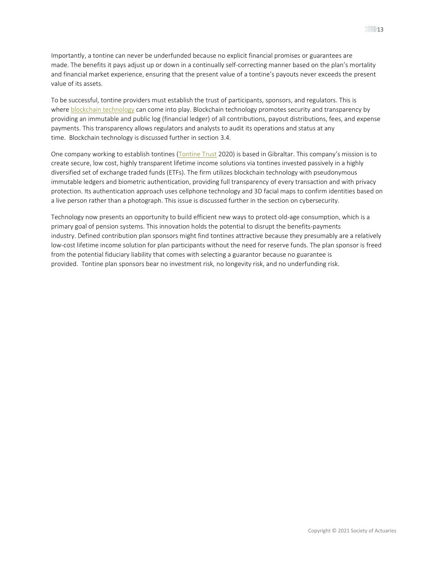Importantly, a tontine can never be underfunded because no explicit financial promises or guarantees are made. The benefits it pays adjust up or down in a continually self-correcting manner based on the plan's mortality and financial market experience, ensuring that the present value of a tontine's payouts never exceeds the present value of its assets.

To be successful, tontine providers must establish the trust of participants, sponsors, and regulators. This is where **[blockchain technology](https://www.forbes.com/sites/danielmarlin/2017/12/22/what-is-blockchain-and-how-will-it-change-the-world/#1bc1ed77560a)** can come into play. Blockchain technology promotes security and transparency by providing an immutable and public log (financial ledger) of all contributions, payout distributions, fees, and expense payments. This transparency allows regulators and analysts to audit its operations and status at any time. Blockchain technology is discussed further in section 3.4.

One company working to establish tontines [\(Tontine Trust](https://tontinetrust.com/) 2020) is based in Gibraltar. This company's mission is to create secure, low cost, highly transparent lifetime income solutions via tontines invested passively in a highly diversified set of exchange traded funds (ETFs). The firm utilizes blockchain technology with pseudonymous immutable ledgers and biometric authentication, providing full transparency of every transaction and with privacy protection. Its authentication approach uses cellphone technology and 3D facial maps to confirm identities based on a live person rather than a photograph. This issue is discussed further in the section on cybersecurity.

Technology now presents an opportunity to build efficient new ways to protect old-age consumption, which is a primary goal of pension systems. This innovation holds the potential to disrupt the benefits-payments industry. Defined contribution plan sponsors might find tontines attractive because they presumably are a relatively low-cost lifetime income solution for plan participants without the need for reserve funds. The plan sponsor is freed from the potential fiduciary liability that comes with selecting a guarantor because no guarantee is provided. Tontine plan sponsors bear no investment risk, no longevity risk, and no underfunding risk.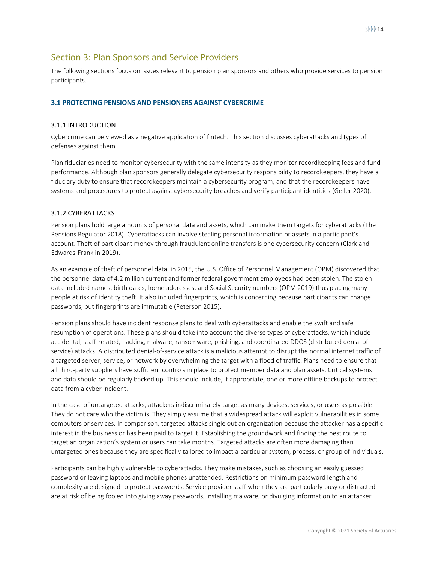# <span id="page-13-0"></span>Section 3: Plan Sponsors and Service Providers

The following sections focus on issues relevant to pension plan sponsors and others who provide services to pension participants.

#### <span id="page-13-2"></span><span id="page-13-1"></span>**3.1 PROTECTING PENSIONS AND PENSIONERS AGAINST CYBERCRIME**

#### 3.1.1 INTRODUCTION

Cybercrime can be viewed as a negative application of fintech. This section discusses cyberattacks and types of defenses against them.

Plan fiduciaries need to monitor cybersecurity with the same intensity as they monitor recordkeeping fees and fund performance. Although plan sponsors generally delegate cybersecurity responsibility to recordkeepers, they have a fiduciary duty to ensure that recordkeepers maintain a cybersecurity program, and that the recordkeepers have systems and procedures to protect against cybersecurity breaches and verify participant identities (Geller 2020).

#### <span id="page-13-3"></span>3.1.2 CYBERATTACKS

Pension plans hold large amounts of personal data and assets, which can make them targets for cyberattacks (The Pensions Regulator 2018). Cyberattacks can involve stealing personal information or assets in a participant's account. Theft of participant money through fraudulent online transfers is one cybersecurity concern (Clark and Edwards-Franklin 2019).

As an example of theft of personnel data, in 2015, the U.S. Office of Personnel Management (OPM) discovered that the personnel data of 4.2 million current and former federal government employees had been stolen. The stolen data included names, birth dates, home addresses, and Social Security numbers (OPM 2019) thus placing many people at risk of identity theft. It also included fingerprints, which is concerning because participants can change passwords, but fingerprints are immutable (Peterson 2015).

Pension plans should have incident response plans to deal with cyberattacks and enable the swift and safe resumption of operations. These plans should take into account the diverse types of cyberattacks, which include accidental, staff-related, hacking, malware, ransomware, phishing, and coordinated DDOS (distributed denial of service) attacks. A distributed denial-of-service attack is a malicious attempt to disrupt the normal internet traffic of a targeted server, service, or network by overwhelming the target with a flood of traffic. Plans need to ensure that all third-party suppliers have sufficient controls in place to protect member data and plan assets. Critical systems and data should be regularly backed up. This should include, if appropriate, one or more offline backups to protect data from a cyber incident.

In the case of untargeted attacks, attackers indiscriminately target as many devices, services, or users as possible. They do not care who the victim is. They simply assume that a widespread attack will exploit vulnerabilities in some computers or services. In comparison, targeted attacks single out an organization because the attacker has a specific interest in the business or has been paid to target it. Establishing the groundwork and finding the best route to target an organization's system or users can take months. Targeted attacks are often more damaging than untargeted ones because they are specifically tailored to impact a particular system, process, or group of individuals.

Participants can be highly vulnerable to cyberattacks. They make mistakes, such as choosing an easily guessed password or leaving laptops and mobile phones unattended. Restrictions on minimum password length and complexity are designed to protect passwords. Service provider staff when they are particularly busy or distracted are at risk of being fooled into giving away passwords, installing malware, or divulging information to an attacker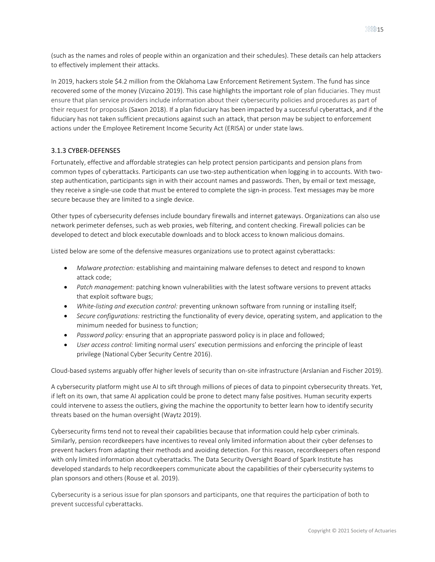(such as the names and roles of people within an organization and their schedules). These details can help attackers to effectively implement their attacks.

In 2019, hackers stole \$4.2 million from the Oklahoma Law Enforcement Retirement System. The fund has since recovered some of the money (Vizcaino 2019). This case highlights the important role of plan fiduciaries. They must ensure that plan service providers include information about their cybersecurity policies and procedures as part of their request for proposals (Saxon 2018). If a plan fiduciary has been impacted by a successful cyberattack, and if the fiduciary has not taken sufficient precautions against such an attack, that person may be subject to enforcement actions under the Employee Retirement Income Security Act (ERISA) or under state laws.

#### <span id="page-14-0"></span>3.1.3 CYBER-DEFENSES

Fortunately, effective and affordable strategies can help protect pension participants and pension plans from common types of cyberattacks. Participants can use two-step authentication when logging in to accounts. With twostep authentication, participants sign in with their account names and passwords. Then, by email or text message, they receive a single-use code that must be entered to complete the sign-in process. Text messages may be more secure because they are limited to a single device.

Other types of cybersecurity defenses include boundary firewalls and internet gateways. Organizations can also use network perimeter defenses, such as web proxies, web filtering, and content checking. Firewall policies can be developed to detect and block executable downloads and to block access to known malicious domains.

Listed below are some of the defensive measures organizations use to protect against cyberattacks:

- *Malware protection:* establishing and maintaining malware defenses to detect and respond to known attack code;
- *Patch management:* patching known vulnerabilities with the latest software versions to prevent attacks that exploit software bugs;
- *White-listing and execution control:* preventing unknown software from running or installing itself;
- *Secure configurations:* restricting the functionality of every device, operating system, and application to the minimum needed for business to function;
- *Password policy:* ensuring that an appropriate password policy is in place and followed;
- *User access control:* limiting normal users' execution permissions and enforcing the principle of least privilege (National Cyber Security Centre 2016).

Cloud-based systems arguably offer higher levels of security than on-site infrastructure (Arslanian and Fischer 2019).

A cybersecurity platform might use AI to sift through millions of pieces of data to pinpoint cybersecurity threats. Yet, if left on its own, that same AI application could be prone to detect many false positives. Human security experts could intervene to assess the outliers, giving the machine the opportunity to better learn how to identify security threats based on the human oversight (Waytz 2019).

Cybersecurity firms tend not to reveal their capabilities because that information could help cyber criminals. Similarly, pension recordkeepers have incentives to reveal only limited information about their cyber defenses to prevent hackers from adapting their methods and avoiding detection. For this reason, recordkeepers often respond with only limited information about cyberattacks. The Data Security Oversight Board of Spark Institute has developed standards to help recordkeepers communicate about the capabilities of their cybersecurity systems to plan sponsors and others (Rouse et al. 2019).

Cybersecurity is a serious issue for plan sponsors and participants, one that requires the participation of both to prevent successful cyberattacks.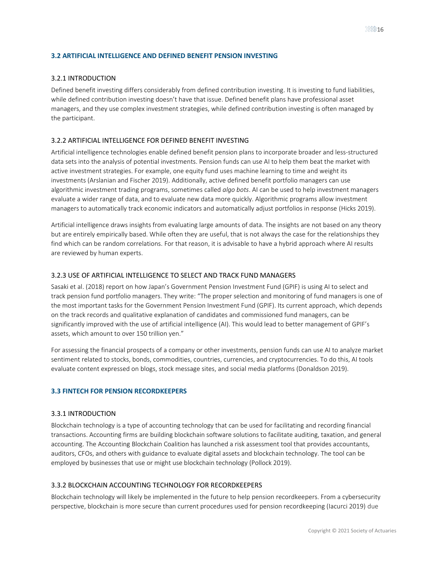#### <span id="page-15-1"></span><span id="page-15-0"></span>**3.2 ARTIFICIAL INTELLIGENCE AND DEFINED BENEFIT PENSION INVESTING**

#### 3.2.1 INTRODUCTION

Defined benefit investing differs considerably from defined contribution investing. It is investing to fund liabilities, while defined contribution investing doesn't have that issue. Defined benefit plans have professional asset managers, and they use complex investment strategies, while defined contribution investing is often managed by the participant.

#### <span id="page-15-2"></span>3.2.2 ARTIFICIAL INTELLIGENCE FOR DEFINED BENEFIT INVESTING

Artificial intelligence technologies enable defined benefit pension plans to incorporate broader and less-structured data sets into the analysis of potential investments. Pension funds can use AI to help them beat the market with active investment strategies. For example, one equity fund uses machine learning to time and weight its investments (Arslanian and Fischer 2019). Additionally, active defined benefit portfolio managers can use algorithmic investment trading programs, sometimes called *algo bots*. AI can be used to help investment managers evaluate a wider range of data, and to evaluate new data more quickly. Algorithmic programs allow investment managers to automatically track economic indicators and automatically adjust portfolios in response (Hicks 2019).

Artificial intelligence draws insights from evaluating large amounts of data. The insights are not based on any theory but are entirely empirically based. While often they are useful, that is not always the case for the relationships they find which can be random correlations. For that reason, it is advisable to have a hybrid approach where AI results are reviewed by human experts.

#### <span id="page-15-3"></span>3.2.3 USE OF ARTIFICIAL INTELLIGENCE TO SELECT AND TRACK FUND MANAGERS

Sasaki et al. (2018) report on how Japan's Government Pension Investment Fund (GPIF) is using AI to select and track pension fund portfolio managers. They write: "The proper selection and monitoring of fund managers is one of the most important tasks for the Government Pension Investment Fund (GPIF). Its current approach, which depends on the track records and qualitative explanation of candidates and commissioned fund managers, can be significantly improved with the use of artificial intelligence (AI). This would lead to better management of GPIF's assets, which amount to over 150 trillion yen."

For assessing the financial prospects of a company or other investments, pension funds can use AI to analyze market sentiment related to stocks, bonds, commodities, countries, currencies, and cryptocurrencies. To do this, AI tools evaluate content expressed on blogs, stock message sites, and social media platforms (Donaldson 2019).

#### <span id="page-15-5"></span><span id="page-15-4"></span>**3.3 FINTECH FOR PENSION RECORDKEEPERS**

#### 3.3.1 INTRODUCTION

Blockchain technology is a type of accounting technology that can be used for facilitating and recording financial transactions. Accounting firms are building blockchain software solutions to facilitate auditing, taxation, and general accounting. The Accounting Blockchain Coalition has launched a risk assessment tool that provides accountants, auditors, CFOs, and others with guidance to evaluate digital assets and blockchain technology. The tool can be employed by businesses that use or might use blockchain technology (Pollock 2019).

#### <span id="page-15-6"></span>3.3.2 BLOCKCHAIN ACCOUNTING TECHNOLOGY FOR RECORDKEEPERS

Blockchain technology will likely be implemented in the future to help pension recordkeepers. From a cybersecurity perspective, blockchain is more secure than current procedures used for pension recordkeeping (Iacurci 2019) due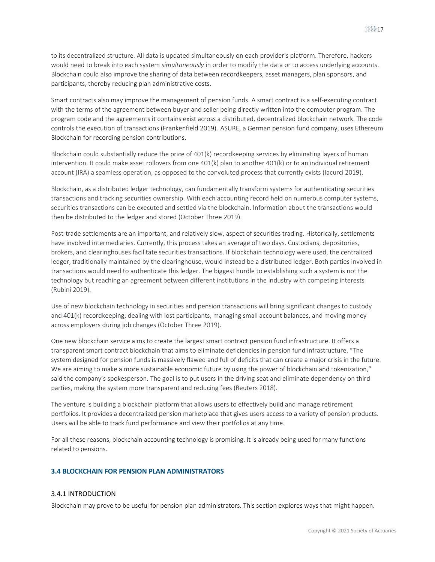to its decentralized structure. All data is updated simultaneously on each provider's platform. Therefore, hackers would need to break into each system *simultaneously* in order to modify the data or to access underlying accounts. Blockchain could also improve the sharing of data between recordkeepers, asset managers, plan sponsors, and participants, thereby reducing plan administrative costs.

Smart contracts also may improve the management of pension funds. A smart contract is a self-executing contract with the terms of the agreement between buyer and seller being directly written into the computer program. The program code and the agreements it contains exist across a distributed, decentralized blockchain network. The code controls the execution of transactions (Frankenfield 2019). ASURE, a German pension fund company, uses Ethereum Blockchain for recording pension contributions.

Blockchain could substantially reduce the price of 401(k) recordkeeping services by eliminating layers of human intervention. It could make asset rollovers from one 401(k) plan to another 401(k) or to an individual retirement account (IRA) a seamless operation, as opposed to the convoluted process that currently exists (Iacurci 2019).

Blockchain, as a distributed ledger technology, can fundamentally transform systems for authenticating securities transactions and tracking securities ownership. With each accounting record held on numerous computer systems, securities transactions can be executed and settled via the blockchain. Information about the transactions would then be distributed to the ledger and stored (October Three 2019).

Post-trade settlements are an important, and relatively slow, aspect of securities trading. Historically, settlements have involved intermediaries. Currently, this process takes an average of two days. Custodians, depositories, brokers, and clearinghouses facilitate securities transactions. If blockchain technology were used, the centralized ledger, traditionally maintained by the clearinghouse, would instead be a distributed ledger. Both parties involved in transactions would need to authenticate this ledger. The biggest hurdle to establishing such a system is not the technology but reaching an agreement between different institutions in the industry with competing interests (Rubini 2019).

Use of new blockchain technology in securities and pension transactions will bring significant changes to custody and 401(k) recordkeeping, dealing with lost participants, managing small account balances, and moving money across employers during job changes (October Three 2019).

One new blockchain service aims to create the largest smart contract pension fund infrastructure. It offers a transparent smart contract blockchain that aims to eliminate deficiencies in pension fund infrastructure. "The system designed for pension funds is massively flawed and full of deficits that can create a major crisis in the future. We are aiming to make a more sustainable economic future by using the power of blockchain and tokenization," said the company's spokesperson. The goal is to put users in the driving seat and eliminate dependency on third parties, making the system more transparent and reducing fees (Reuters 2018).

The venture is building a blockchain platform that allows users to effectively build and manage retirement portfolios. It provides a decentralized pension marketplace that gives users access to a variety of pension products. Users will be able to track fund performance and view their portfolios at any time.

For all these reasons, blockchain accounting technology is promising. It is already being used for many functions related to pensions.

#### <span id="page-16-1"></span><span id="page-16-0"></span>**3.4 BLOCKCHAIN FOR PENSION PLAN ADMINISTRATORS**

#### 3.4.1 INTRODUCTION

Blockchain may prove to be useful for pension plan administrators. This section explores ways that might happen.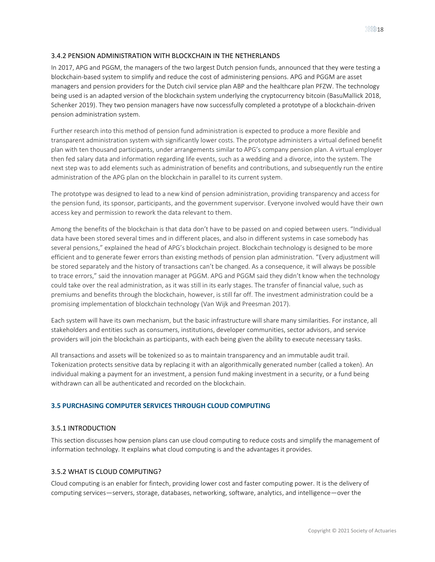#### <span id="page-17-0"></span>3.4.2 PENSION ADMINISTRATION WITH BLOCKCHAIN IN THE NETHERLANDS

In 2017, APG and PGGM, the managers of the two largest Dutch pension funds, announced that they were testing a blockchain-based system to simplify and reduce the cost of administering pensions. APG and PGGM are asset managers and pension providers for the Dutch civil service plan ABP and the healthcare plan PFZW. The technology being used is an adapted version of the blockchain system underlying the cryptocurrency bitcoin (BasuMallick 2018, Schenker 2019). They two pension managers have now successfully completed a prototype of a blockchain-driven pension administration system.

Further research into this method of pension fund administration is expected to produce a more flexible and transparent administration system with significantly lower costs. The prototype administers a virtual defined benefit plan with ten thousand participants, under arrangements similar to APG's company pension plan. A virtual employer then fed salary data and information regarding life events, such as a wedding and a divorce, into the system. The next step was to add elements such as administration of benefits and contributions, and subsequently run the entire administration of the APG plan on the blockchain in parallel to its current system.

The prototype was designed to lead to a new kind of pension administration, providing transparency and access for the pension fund, its sponsor, participants, and the government supervisor. Everyone involved would have their own access key and permission to rework the data relevant to them.

Among the benefits of the blockchain is that data don't have to be passed on and copied between users. "Individual data have been stored several times and in different places, and also in different systems in case somebody has several pensions," explained the head of APG's blockchain project. Blockchain technology is designed to be more efficient and to generate fewer errors than existing methods of pension plan administration. "Every adjustment will be stored separately and the history of transactions can't be changed. As a consequence, it will always be possible to trace errors," said the innovation manager at PGGM. APG and PGGM said they didn't know when the technology could take over the real administration, as it was still in its early stages. The transfer of financial value, such as premiums and benefits through the blockchain, however, is still far off. The investment administration could be a promising implementation of blockchain technology (Van Wijk and Preesman 2017).

Each system will have its own mechanism, but the basic infrastructure will share many similarities. For instance, all stakeholders and entities such as consumers, institutions, developer communities, sector advisors, and service providers will join the blockchain as participants, with each being given the ability to execute necessary tasks.

All transactions and assets will be tokenized so as to maintain transparency and an immutable audit trail. Tokenization protects sensitive data by replacing it with an algorithmically generated number (called a token). An individual making a payment for an investment, a pension fund making investment in a security, or a fund being withdrawn can all be authenticated and recorded on the blockchain.

#### <span id="page-17-1"></span>**3.5 PURCHASING COMPUTER SERVICES THROUGH CLOUD COMPUTING**

#### <span id="page-17-2"></span>3.5.1 INTRODUCTION

This section discusses how pension plans can use cloud computing to reduce costs and simplify the management of information technology. It explains what cloud computing is and the advantages it provides.

#### <span id="page-17-3"></span>3.5.2 WHAT IS CLOUD COMPUTING?

Cloud computing is an enabler for fintech, providing lower cost and faster computing power. It is the delivery of computing services—servers, storage, databases, networking, software, analytics, and intelligence—over the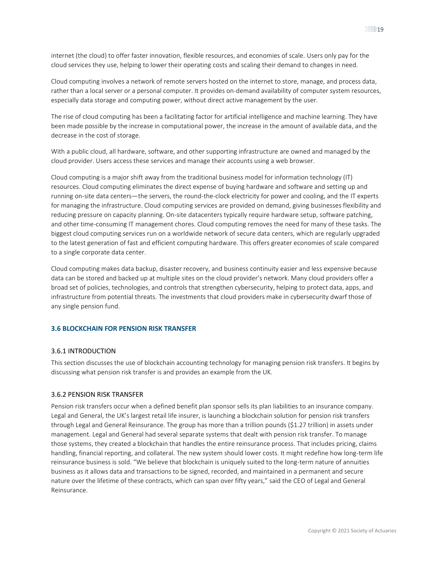internet (the cloud) to offer faster innovation, flexible resources, and economies of scale. Users only pay for the cloud services they use, helping to lower their operating costs and scaling their demand to changes in need.

Cloud computing involves a network of remote servers hosted on the internet to store, manage, and process data, rather than a local server or a personal computer. It provides on-demand availability of computer system resources, especially data storage and computing power, without direct active management by the user.

The rise of cloud computing has been a facilitating factor for artificial intelligence and machine learning. They have been made possible by the increase in computational power, the increase in the amount of available data, and the decrease in the cost of storage.

With a public cloud, all hardware, software, and other supporting infrastructure are owned and managed by the cloud provider. Users access these services and manage their accounts using a web browser.

Cloud computing is a major shift away from the traditional business model for information technology (IT) resources. Cloud computing eliminates the direct expense of buying hardware and software and setting up and running on-site data centers—the servers, the round-the-clock electricity for power and cooling, and the IT experts for managing the infrastructure. Cloud computing services are provided on demand, giving businesses flexibility and reducing pressure on capacity planning. On-site datacenters typically require hardware setup, software patching, and other time-consuming IT management chores. Cloud computing removes the need for many of these tasks. The biggest cloud computing services run on a worldwide network of secure data centers, which are regularly upgraded to the latest generation of fast and efficient computing hardware. This offers greater economies of scale compared to a single corporate data center.

Cloud computing makes data backup, disaster recovery, and business continuity easier and less expensive because data can be stored and backed up at multiple sites on the cloud provider's network. Many cloud providers offer a broad set of policies, technologies, and controls that strengthen cybersecurity, helping to protect data, apps, and infrastructure from potential threats. The investments that cloud providers make in cybersecurity dwarf those of any single pension fund.

#### <span id="page-18-1"></span><span id="page-18-0"></span>**3.6 BLOCKCHAIN FOR PENSION RISK TRANSFER**

#### 3.6.1 INTRODUCTION

This section discusses the use of blockchain accounting technology for managing pension risk transfers. It begins by discussing what pension risk transfer is and provides an example from the UK.

#### <span id="page-18-2"></span>3.6.2 PENSION RISK TRANSFER

Pension risk transfers occur when a defined benefit plan sponsor sells its plan liabilities to an insurance company. Legal and General, the UK's largest retail life insurer, is launching a blockchain solution for pension risk transfers through Legal and General Reinsurance. The group has more than a trillion pounds (\$1.27 trillion) in assets under management. Legal and General had several separate systems that dealt with pension risk transfer. To manage those systems, they created a blockchain that handles the entire reinsurance process. That includes pricing, claims handling, financial reporting, and collateral. The new system should lower costs. It might redefine how long-term life reinsurance business is sold. "We believe that blockchain is uniquely suited to the long-term nature of annuities business as it allows data and transactions to be signed, recorded, and maintained in a permanent and secure nature over the lifetime of these contracts, which can span over fifty years," said the CEO of Legal and General Reinsurance.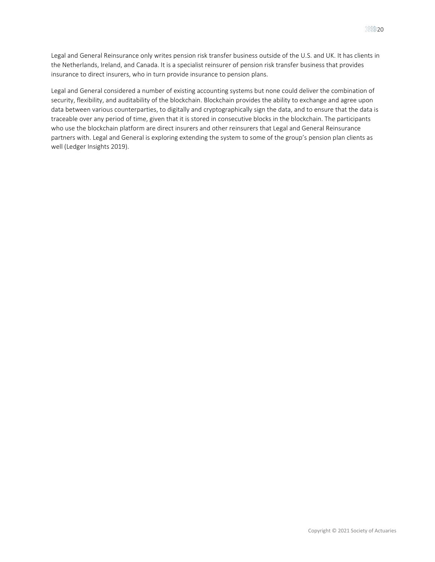Legal and General Reinsurance only writes pension risk transfer business outside of the U.S. and UK. It has clients in the Netherlands, Ireland, and Canada. It is a specialist reinsurer of pension risk transfer business that provides insurance to direct insurers, who in turn provide insurance to pension plans.

Legal and General considered a number of existing accounting systems but none could deliver the combination of security, flexibility, and auditability of the blockchain. Blockchain provides the ability to exchange and agree upon data between various counterparties, to digitally and cryptographically sign the data, and to ensure that the data is traceable over any period of time, given that it is stored in consecutive blocks in the blockchain. The participants who use the blockchain platform are direct insurers and other reinsurers that Legal and General Reinsurance partners with. Legal and General is exploring extending the system to some of the group's pension plan clients as well (Ledger Insights 2019).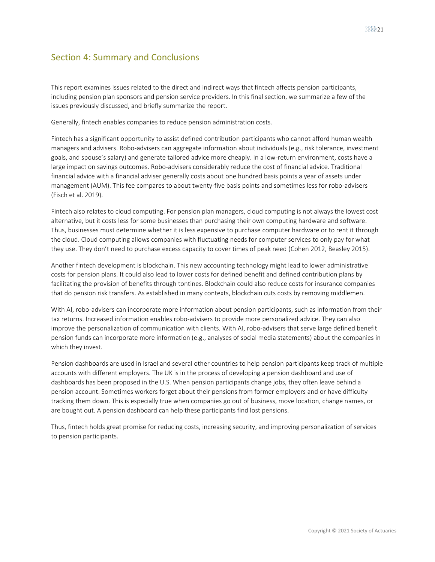# <span id="page-20-0"></span>Section 4: Summary and Conclusions

This report examines issues related to the direct and indirect ways that fintech affects pension participants, including pension plan sponsors and pension service providers. In this final section, we summarize a few of the issues previously discussed, and briefly summarize the report.

Generally, fintech enables companies to reduce pension administration costs.

Fintech has a significant opportunity to assist defined contribution participants who cannot afford human wealth managers and advisers. Robo-advisers can aggregate information about individuals (e.g., risk tolerance, investment goals, and spouse's salary) and generate tailored advice more cheaply. In a low-return environment, costs have a large impact on savings outcomes. Robo-advisers considerably reduce the cost of financial advice. Traditional financial advice with a financial adviser generally costs about one hundred basis points a year of assets under management (AUM). This fee compares to about twenty-five basis points and sometimes less for robo-advisers (Fisch et al. 2019).

Fintech also relates to cloud computing. For pension plan managers, cloud computing is not always the lowest cost alternative, but it costs less for some businesses than purchasing their own computing hardware and software. Thus, businesses must determine whether it is less expensive to purchase computer hardware or to rent it through the cloud. Cloud computing allows companies with fluctuating needs for computer services to only pay for what they use. They don't need to purchase excess capacity to cover times of peak need (Cohen 2012, Beasley 2015).

Another fintech development is blockchain. This new accounting technology might lead to lower administrative costs for pension plans. It could also lead to lower costs for defined benefit and defined contribution plans by facilitating the provision of benefits through tontines. Blockchain could also reduce costs for insurance companies that do pension risk transfers. As established in many contexts, blockchain cuts costs by removing middlemen.

With AI, robo-advisers can incorporate more information about pension participants, such as information from their tax returns. Increased information enables robo-advisers to provide more personalized advice. They can also improve the personalization of communication with clients. With AI, robo-advisers that serve large defined benefit pension funds can incorporate more information (e.g., analyses of social media statements) about the companies in which they invest.

Pension dashboards are used in Israel and several other countries to help pension participants keep track of multiple accounts with different employers. The UK is in the process of developing a pension dashboard and use of dashboards has been proposed in the U.S. When pension participants change jobs, they often leave behind a pension account. Sometimes workers forget about their pensions from former employers and or have difficulty tracking them down. This is especially true when companies go out of business, move location, change names, or are bought out. A pension dashboard can help these participants find lost pensions.

Thus, fintech holds great promise for reducing costs, increasing security, and improving personalization of services to pension participants.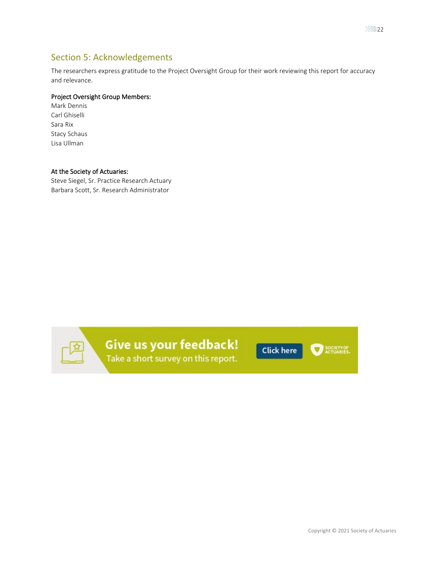# <span id="page-21-0"></span>Section 5: Acknowledgements

The researchers express gratitude to the Project Oversight Group for their work reviewing this report for accuracy and relevance.

#### Project Oversight Group Members:

Mark Dennis Carl Ghiselli Sara Rix Stacy Schaus Lisa Ullman

#### At the Society of Actuaries:

Steve Siegel, Sr. Practice Research Actuary Barbara Scott, Sr. Research Administrator



Give us your feedback! Take a short survey on this report.

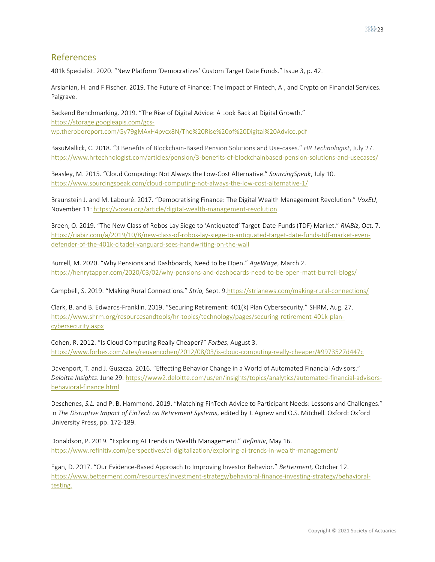## <span id="page-22-0"></span>References

401k Specialist. 2020. "New Platform 'Democratizes' Custom Target Date Funds." Issue 3, p. 42.

Arslanian, H. and F Fischer. 2019. The Future of Finance: The Impact of Fintech, AI, and Crypto on Financial Services. Palgrave.

Backend Benchmarking. 2019. "The Rise of Digital Advice: A Look Back at Digital Growth." [https://storage.googleapis.com/gcs](https://storage.googleapis.com/gcs-wp.theroboreport.com/Gy79gMAxH4pvcx8N/The%20Rise%20of%20Digital%20Advice.pdf)[wp.theroboreport.com/Gy79gMAxH4pvcx8N/The%20Rise%20of%20Digital%20Advice.pdf](https://storage.googleapis.com/gcs-wp.theroboreport.com/Gy79gMAxH4pvcx8N/The%20Rise%20of%20Digital%20Advice.pdf)

BasuMallick, C. 2018. "3 Benefits of Blockchain-Based Pension Solutions and Use-cases." *HR Technologist*, July 27. <https://www.hrtechnologist.com/articles/pension/3-benefits-of-blockchainbased-pension-solutions-and-usecases/>

Beasley, M. 2015. "Cloud Computing: Not Always the Low-Cost Alternative." *SourcingSpeak*, July 10. <https://www.sourcingspeak.com/cloud-computing-not-always-the-low-cost-alternative-1/>

Braunstein J. and M. Labouré. 2017. "Democratising Finance: The Digital Wealth Management Revolution." *VoxEU*, November 11[: https://voxeu.org/article/digital-wealth-management-revolution](https://voxeu.org/article/digital-wealth-management-revolution)

Breen, O. 2019. "The New Class of Robos Lay Siege to 'Antiquated' Target-Date-Funds (TDF) Market." *RIABiz*, Oct. 7. [https://riabiz.com/a/2019/10/8/new-class-of-robos-lay-siege-to-antiquated-target-date-funds-tdf-market-even](https://riabiz.com/a/2019/10/8/new-class-of-robos-lay-siege-to-antiquated-target-date-funds-tdf-market-even-defender-of-the-401k-citadel-vanguard-sees-handwriting-on-the-wall)[defender-of-the-401k-citadel-vanguard-sees-handwriting-on-the-wall](https://riabiz.com/a/2019/10/8/new-class-of-robos-lay-siege-to-antiquated-target-date-funds-tdf-market-even-defender-of-the-401k-citadel-vanguard-sees-handwriting-on-the-wall)

Burrell, M. 2020. "Why Pensions and Dashboards, Need to be Open." *AgeWage*, March 2. <https://henrytapper.com/2020/03/02/why-pensions-and-dashboards-need-to-be-open-matt-burrell-blogs/>

Campbell, S. 2019. "Making Rural Connections." *Stria,* Sept. 9[.https://strianews.com/making-rural-connections/](https://strianews.com/making-rural-connections/)

Clark, B. and B. Edwards-Franklin. 2019. "Securing Retirement: 401(k) Plan Cybersecurity." SHRM, Aug. 27. [https://www.shrm.org/resourcesandtools/hr-topics/technology/pages/securing-retirement-401k-plan](https://www.shrm.org/resourcesandtools/hr-topics/technology/pages/securing-retirement-401k-plan-cybersecurity.aspx)[cybersecurity.aspx](https://www.shrm.org/resourcesandtools/hr-topics/technology/pages/securing-retirement-401k-plan-cybersecurity.aspx)

Cohen, R. 2012. "Is Cloud Computing Really Cheaper?" *Forbes,* August 3. <https://www.forbes.com/sites/reuvencohen/2012/08/03/is-cloud-computing-really-cheaper/#9973527d447c>

Davenport, T. and J. Guszcza. 2016. "Effecting Behavior Change in a World of Automated Financial Advisors." *Deloitte Insights*. June 29. [https://www2.deloitte.com/us/en/insights/topics/analytics/automated-financial-advisors](https://www2.deloitte.com/us/en/insights/topics/analytics/automated-financial-advisors-behavioral-finance.html)[behavioral-finance.html](https://www2.deloitte.com/us/en/insights/topics/analytics/automated-financial-advisors-behavioral-finance.html)

Deschenes, *S.L.* and P. B. Hammond. 2019. "Matching FinTech Advice to Participant Needs: Lessons and Challenges." In *The Disruptive Impact of FinTech on Retirement Systems*, edited by J. Agnew and O.S. Mitchell. Oxford: Oxford University Press, pp. 172-189.

Donaldson, P. 2019. "Exploring AI Trends in Wealth Management." *Refinitiv*, May 16. <https://www.refinitiv.com/perspectives/ai-digitalization/exploring-ai-trends-in-wealth-management/>

Egan, D. 2017. "Our Evidence-Based Approach to Improving Investor Behavior." *Betterment,* October 12. [https://www.betterment.com/resources/investment-strategy/behavioral-finance-investing-strategy/behavioral](https://www.betterment.com/resources/investment-strategy/behavioral-finance-investing-strategy/behavioral-testing)[testing.](https://www.betterment.com/resources/investment-strategy/behavioral-finance-investing-strategy/behavioral-testing)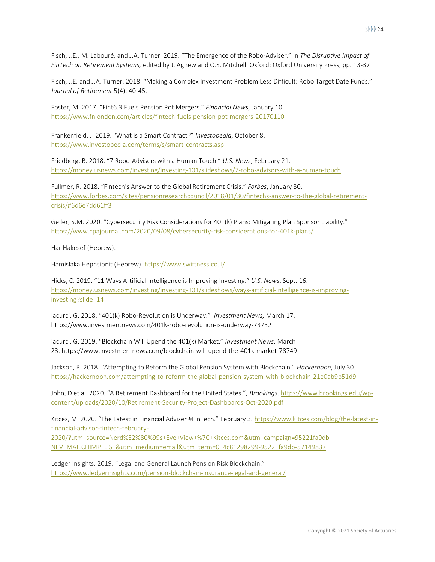Fisch, J.E., M. Labouré, and J.A. Turner. 2019. "The Emergence of the Robo-Adviser." In *The Disruptive Impact of FinTech on Retirement Systems,* edited by J. Agnew and O.S. Mitchell. Oxford: Oxford University Press, pp. 13-37

Fisch, J.E. and J.A. Turner. 2018. "Making a Complex Investment Problem Less Difficult: Robo Target Date Funds." *Journal of Retirement* 5(4): 40-45.

Foster, M. 2017. "Fint6.3 Fuels Pension Pot Mergers." *Financial News*, January 10. <https://www.fnlondon.com/articles/fintech-fuels-pension-pot-mergers-20170110>

Frankenfield, J. 2019. "What is a Smart Contract?" *Investopedia*, October 8. <https://www.investopedia.com/terms/s/smart-contracts.asp>

Friedberg, B. 2018. "7 Robo-Advisers with a Human Touch." *U.S. News*, February 21. <https://money.usnews.com/investing/investing-101/slideshows/7-robo-advisors-with-a-human-touch>

Fullmer, R. 2018. "Fintech's Answer to the Global Retirement Crisis." *Forbes*, January 30. [https://www.forbes.com/sites/pensionresearchcouncil/2018/01/30/fintechs-answer-to-the-global-retirement](https://www.forbes.com/sites/pensionresearchcouncil/2018/01/30/fintechs-answer-to-the-global-retirement-crisis/#6d6e7dd61ff3)[crisis/#6d6e7dd61ff3](https://www.forbes.com/sites/pensionresearchcouncil/2018/01/30/fintechs-answer-to-the-global-retirement-crisis/#6d6e7dd61ff3)

Geller, S.M. 2020. "Cybersecurity Risk Considerations for 401(k) Plans: Mitigating Plan Sponsor Liability." <https://www.cpajournal.com/2020/09/08/cybersecurity-risk-considerations-for-401k-plans/>

Har Hakesef (Hebrew).

Hamislaka Hepnsionit (Hebrew).<https://www.swiftness.co.il/>

Hicks, C. 2019. "11 Ways Artificial Intelligence is Improving Investing." *U.S. News*, Sept. 16. [https://money.usnews.com/investing/investing-101/slideshows/ways-artificial-intelligence-is-improving](https://money.usnews.com/investing/investing-101/slideshows/ways-artificial-intelligence-is-improving-investing?slide=14)[investing?slide=14](https://money.usnews.com/investing/investing-101/slideshows/ways-artificial-intelligence-is-improving-investing?slide=14)

Iacurci, G. 2018. "401(k) Robo-Revolution is Underway." *Investment News,* March 17. https://www.investmentnews.com/401k-robo-revolution-is-underway-73732

Iacurci, G. 2019. "Blockchain Will Upend the 401(k) Market." *Investment News*, March 23. https://www.investmentnews.com/blockchain-will-upend-the-401k-market-78749

Jackson, R. 2018. "Attempting to Reform the Global Pension System with Blockchain." *Hackernoon*, July 30. <https://hackernoon.com/attempting-to-reform-the-global-pension-system-with-blockchain-21e0ab9b51d9>

John, D et al. 2020. "A Retirement Dashboard for the United States.", *Brookings*[. https://www.brookings.edu/wp](https://www.brookings.edu/wp-content/uploads/2020/10/Retirement-Security-Project-Dashboards-Oct-2020.pdf)[content/uploads/2020/10/Retirement-Security-Project-Dashboards-Oct-2020.pdf](https://www.brookings.edu/wp-content/uploads/2020/10/Retirement-Security-Project-Dashboards-Oct-2020.pdf)

Kitces, M. 2020. "The Latest in Financial Adviser #FinTech." February 3. [https://www.kitces.com/blog/the-latest-in](https://www.kitces.com/blog/the-latest-in-financial-advisor-fintech-february-2020/?utm_source=Nerd%E2%80%99s+Eye+View+%7C+Kitces.com&utm_campaign=95221fa9db-NEV_MAILCHIMP_LIST&utm_medium=email&utm_term=0_4c81298299-95221fa9db-57149837)[financial-advisor-fintech-february-](https://www.kitces.com/blog/the-latest-in-financial-advisor-fintech-february-2020/?utm_source=Nerd%E2%80%99s+Eye+View+%7C+Kitces.com&utm_campaign=95221fa9db-NEV_MAILCHIMP_LIST&utm_medium=email&utm_term=0_4c81298299-95221fa9db-57149837)

[2020/?utm\\_source=Nerd%E2%80%99s+Eye+View+%7C+Kitces.com&utm\\_campaign=95221fa9db-](https://www.kitces.com/blog/the-latest-in-financial-advisor-fintech-february-2020/?utm_source=Nerd%E2%80%99s+Eye+View+%7C+Kitces.com&utm_campaign=95221fa9db-NEV_MAILCHIMP_LIST&utm_medium=email&utm_term=0_4c81298299-95221fa9db-57149837)[NEV\\_MAILCHIMP\\_LIST&utm\\_medium=email&utm\\_term=0\\_4c81298299-95221fa9db-57149837](https://www.kitces.com/blog/the-latest-in-financial-advisor-fintech-february-2020/?utm_source=Nerd%E2%80%99s+Eye+View+%7C+Kitces.com&utm_campaign=95221fa9db-NEV_MAILCHIMP_LIST&utm_medium=email&utm_term=0_4c81298299-95221fa9db-57149837)

Ledger Insights. 2019. "Legal and General Launch Pension Risk Blockchain." <https://www.ledgerinsights.com/pension-blockchain-insurance-legal-and-general/>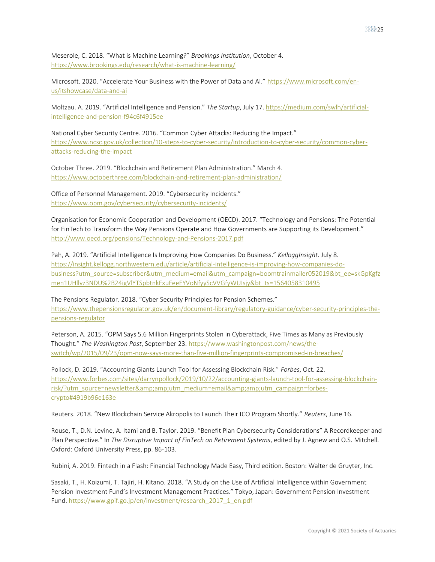Meserole, C. 2018. "What is Machine Learning?" *Brookings Institution*, October 4. <https://www.brookings.edu/research/what-is-machine-learning/>

Microsoft. 2020. "Accelerate Your Business with the Power of Data and AI." [https://www.microsoft.com/en](https://www.microsoft.com/en-us/itshowcase/data-and-ai)[us/itshowcase/data-and-ai](https://www.microsoft.com/en-us/itshowcase/data-and-ai)

Moltzau. A. 2019. "Artificial Intelligence and Pension." *The Startup*, July 17[. https://medium.com/swlh/artificial](https://medium.com/swlh/artificial-intelligence-and-pension-f94c6f4915ee)[intelligence-and-pension-f94c6f4915ee](https://medium.com/swlh/artificial-intelligence-and-pension-f94c6f4915ee)

National Cyber Security Centre. 2016. "Common Cyber Attacks: Reducing the Impact." [https://www.ncsc.gov.uk/collection/10-steps-to-cyber-security/introduction-to-cyber-security/common-cyber](https://www.ncsc.gov.uk/collection/10-steps-to-cyber-security/introduction-to-cyber-security/common-cyber-attacks-reducing-the-impact)[attacks-reducing-the-impact](https://www.ncsc.gov.uk/collection/10-steps-to-cyber-security/introduction-to-cyber-security/common-cyber-attacks-reducing-the-impact)

October Three. 2019. "Blockchain and Retirement Plan Administration." March 4. <https://www.octoberthree.com/blockchain-and-retirement-plan-administration/>

Office of Personnel Management. 2019. "Cybersecurity Incidents." <https://www.opm.gov/cybersecurity/cybersecurity-incidents/>

Organisation for Economic Cooperation and Development (OECD). 2017. "Technology and Pensions: The Potential for FinTech to Transform the Way Pensions Operate and How Governments are Supporting its Development." <http://www.oecd.org/pensions/Technology-and-Pensions-2017.pdf>

Pah, A. 2019. "Artificial Intelligence Is Improving How Companies Do Business." *KelloggInsight*. July 8. [https://insight.kellogg.northwestern.edu/article/artificial-intelligence-is-improving-how-companies-do](https://insight.kellogg.northwestern.edu/article/artificial-intelligence-is-improving-how-companies-do-business?utm_source=subscriber&utm_medium=email&utm_campaign=boomtrainmailer052019&bt_ee=skGpKgfzmen1UHllvz3NDU%2B24igVlYTSpbtnkFxuFeeEYVoNfyyScVVGfyWUIsjy&bt_ts=1564058310495)[business?utm\\_source=subscriber&utm\\_medium=email&utm\\_campaign=boomtrainmailer052019&bt\\_ee=skGpKgfz](https://insight.kellogg.northwestern.edu/article/artificial-intelligence-is-improving-how-companies-do-business?utm_source=subscriber&utm_medium=email&utm_campaign=boomtrainmailer052019&bt_ee=skGpKgfzmen1UHllvz3NDU%2B24igVlYTSpbtnkFxuFeeEYVoNfyyScVVGfyWUIsjy&bt_ts=1564058310495) [men1UHllvz3NDU%2B24igVlYTSpbtnkFxuFeeEYVoNfyyScVVGfyWUIsjy&bt\\_ts=1564058310495](https://insight.kellogg.northwestern.edu/article/artificial-intelligence-is-improving-how-companies-do-business?utm_source=subscriber&utm_medium=email&utm_campaign=boomtrainmailer052019&bt_ee=skGpKgfzmen1UHllvz3NDU%2B24igVlYTSpbtnkFxuFeeEYVoNfyyScVVGfyWUIsjy&bt_ts=1564058310495)

The Pensions Regulator. 2018. "Cyber Security Principles for Pension Schemes." [https://www.thepensionsregulator.gov.uk/en/document-library/regulatory-guidance/cyber-security-principles-the](https://www.thepensionsregulator.gov.uk/en/document-library/regulatory-guidance/cyber-security-principles-the-pensions-regulator)[pensions-regulator](https://www.thepensionsregulator.gov.uk/en/document-library/regulatory-guidance/cyber-security-principles-the-pensions-regulator)

Peterson, A. 2015. "OPM Says 5.6 Million Fingerprints Stolen in Cyberattack, Five Times as Many as Previously Thought." *The Washington Post*, September 23[. https://www.washingtonpost.com/news/the](https://www.washingtonpost.com/news/the-switch/wp/2015/09/23/opm-now-says-more-than-five-million-fingerprints-compromised-in-breaches/)[switch/wp/2015/09/23/opm-now-says-more-than-five-million-fingerprints-compromised-in-breaches/](https://www.washingtonpost.com/news/the-switch/wp/2015/09/23/opm-now-says-more-than-five-million-fingerprints-compromised-in-breaches/)

Pollock, D. 2019. "Accounting Giants Launch Tool for Assessing Blockchain Risk." *Forbes*, Oct. 22. [https://www.forbes.com/sites/darrynpollock/2019/10/22/accounting-giants-launch-tool-for-assessing-blockchain](https://www.forbes.com/sites/darrynpollock/2019/10/22/accounting-giants-launch-tool-for-assessing-blockchain-risk/?utm_source=newsletter&amp;utm_medium=email&amp;utm_campaign=forbes-crypto#4919b96e163e)[risk/?utm\\_source=newsletter&utm\\_medium=email&utm\\_campaign=forbes](https://www.forbes.com/sites/darrynpollock/2019/10/22/accounting-giants-launch-tool-for-assessing-blockchain-risk/?utm_source=newsletter&amp;utm_medium=email&amp;utm_campaign=forbes-crypto#4919b96e163e)[crypto#4919b96e163e](https://www.forbes.com/sites/darrynpollock/2019/10/22/accounting-giants-launch-tool-for-assessing-blockchain-risk/?utm_source=newsletter&amp;utm_medium=email&amp;utm_campaign=forbes-crypto#4919b96e163e) 

Reuters. 2018. "New Blockchain Service Akropolis to Launch Their ICO Program Shortly." *Reuters*, June 16.

Rouse, T., D.N. Levine, A. Itami and B. Taylor. 2019. "Benefit Plan Cybersecurity Considerations" A Recordkeeper and Plan Perspective." In *The Disruptive Impact of FinTech on Retirement Systems*, edited by J. Agnew and O.S. Mitchell. Oxford: Oxford University Press, pp. 86-103.

Rubini, A. 2019. Fintech in a Flash: Financial Technology Made Easy, Third edition. Boston: Walter de Gruyter, Inc.

Sasaki, T., H. Koizumi, T. Tajiri, H. Kitano. 2018. "A Study on the Use of Artificial Intelligence within Government Pension Investment Fund's Investment Management Practices." Tokyo, Japan: Government Pension Investment Fund. [https://www.gpif.go.jp/en/investment/research\\_2017\\_1\\_en.pdf](https://www.gpif.go.jp/en/investment/research_2017_1_en.pdf)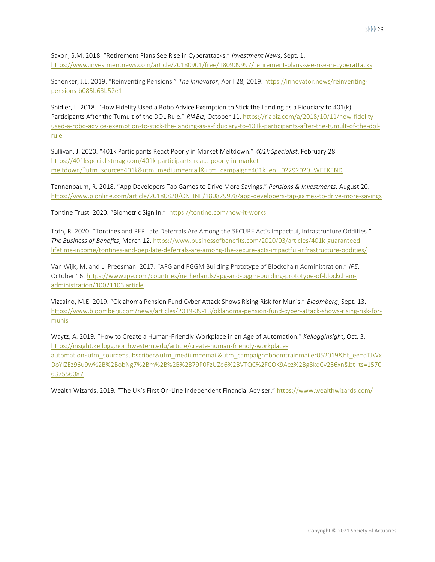Saxon, S.M. 2018. "Retirement Plans See Rise in Cyberattacks." *Investment News*, Sept. 1. <https://www.investmentnews.com/article/20180901/free/180909997/retirement-plans-see-rise-in-cyberattacks>

Schenker, J.L. 2019. "Reinventing Pensions." *The Innovator*, April 28, 2019[. https://innovator.news/reinventing](https://innovator.news/reinventing-pensions-b085b63b52e1)[pensions-b085b63b52e1](https://innovator.news/reinventing-pensions-b085b63b52e1)

Shidler, L. 2018. "How Fidelity Used a Robo Advice Exemption to Stick the Landing as a Fiduciary to 401(k) Participants After the Tumult of the DOL Rule." *RIABiz*, October 11. [https://riabiz.com/a/2018/10/11/how-fidelity](https://riabiz.com/a/2018/10/11/how-fidelity-used-a-robo-advice-exemption-to-stick-the-landing-as-a-fiduciary-to-401k-participants-after-the-tumult-of-the-dol-rule)[used-a-robo-advice-exemption-to-stick-the-landing-as-a-fiduciary-to-401k-participants-after-the-tumult-of-the-dol](https://riabiz.com/a/2018/10/11/how-fidelity-used-a-robo-advice-exemption-to-stick-the-landing-as-a-fiduciary-to-401k-participants-after-the-tumult-of-the-dol-rule)[rule](https://riabiz.com/a/2018/10/11/how-fidelity-used-a-robo-advice-exemption-to-stick-the-landing-as-a-fiduciary-to-401k-participants-after-the-tumult-of-the-dol-rule)

Sullivan, J. 2020. "401k Participants React Poorly in Market Meltdown." *401k Specialist*, February 28. [https://401kspecialistmag.com/401k-participants-react-poorly-in-market](https://401kspecialistmag.com/401k-participants-react-poorly-in-market-meltdown/?utm_source=401k&utm_medium=email&utm_campaign=401k_enl_02292020_WEEKEND)[meltdown/?utm\\_source=401k&utm\\_medium=email&utm\\_campaign=401k\\_enl\\_02292020\\_WEEKEND](https://401kspecialistmag.com/401k-participants-react-poorly-in-market-meltdown/?utm_source=401k&utm_medium=email&utm_campaign=401k_enl_02292020_WEEKEND)

Tannenbaum, R. 2018. "App Developers Tap Games to Drive More Savings." *Pensions & Investments,* August 20. <https://www.pionline.com/article/20180820/ONLINE/180829978/app-developers-tap-games-to-drive-more-savings>

Tontine Trust. 2020. "Biometric Sign In." <https://tontine.com/how-it-works>

Toth, R. 2020. "Tontines and PEP Late Deferrals Are Among the SECURE Act's Impactful, Infrastructure Oddities." *The Business of Benefits*, March 12[. https://www.businessofbenefits.com/2020/03/articles/401k-guaranteed](https://www.businessofbenefits.com/2020/03/articles/401k-guaranteed-lifetime-income/tontines-and-pep-late-deferrals-are-among-the-secure-acts-impactful-infrastructure-oddities/)[lifetime-income/tontines-and-pep-late-deferrals-are-among-the-secure-acts-impactful-infrastructure-oddities/](https://www.businessofbenefits.com/2020/03/articles/401k-guaranteed-lifetime-income/tontines-and-pep-late-deferrals-are-among-the-secure-acts-impactful-infrastructure-oddities/)

Van Wijk, M. and L. Preesman. 2017. "APG and PGGM Building Prototype of Blockchain Administration." *IPE*, October 16. [https://www.ipe.com/countries/netherlands/apg-and-pggm-building-prototype-of-blockchain](https://www.ipe.com/countries/netherlands/apg-and-pggm-building-prototype-of-blockchain-administration/10021103.article)[administration/10021103.article](https://www.ipe.com/countries/netherlands/apg-and-pggm-building-prototype-of-blockchain-administration/10021103.article)

Vizcaino, M.E. 2019. "Oklahoma Pension Fund Cyber Attack Shows Rising Risk for Munis." *Bloomberg*, Sept. 13. [https://www.bloomberg.com/news/articles/2019-09-13/oklahoma-pension-fund-cyber-attack-shows-rising-risk-for](https://www.bloomberg.com/news/articles/2019-09-13/oklahoma-pension-fund-cyber-attack-shows-rising-risk-for-munis)[munis](https://www.bloomberg.com/news/articles/2019-09-13/oklahoma-pension-fund-cyber-attack-shows-rising-risk-for-munis)

Waytz, A. 2019. "How to Create a Human-Friendly Workplace in an Age of Automation." *KelloggInsight*, Oct. 3. [https://insight.kellogg.northwestern.edu/article/create-human-friendly-workplace](https://insight.kellogg.northwestern.edu/article/create-human-friendly-workplace-automation?utm_source=subscriber&utm_medium=email&utm_campaign=boomtrainmailer052019&bt_ee=dTJWxDoYIZEz96u9w%2B%2BobNg7%2Bm%2B%2B%2B79P0FzUZd6%2BVTQC%2FCOK9Aez%2Bg8kqCy256xn&bt_ts=1570637556087)[automation?utm\\_source=subscriber&utm\\_medium=email&utm\\_campaign=boomtrainmailer052019&bt\\_ee=dTJWx](https://insight.kellogg.northwestern.edu/article/create-human-friendly-workplace-automation?utm_source=subscriber&utm_medium=email&utm_campaign=boomtrainmailer052019&bt_ee=dTJWxDoYIZEz96u9w%2B%2BobNg7%2Bm%2B%2B%2B79P0FzUZd6%2BVTQC%2FCOK9Aez%2Bg8kqCy256xn&bt_ts=1570637556087) [DoYIZEz96u9w%2B%2BobNg7%2Bm%2B%2B%2B79P0FzUZd6%2BVTQC%2FCOK9Aez%2Bg8kqCy256xn&bt\\_ts=1570](https://insight.kellogg.northwestern.edu/article/create-human-friendly-workplace-automation?utm_source=subscriber&utm_medium=email&utm_campaign=boomtrainmailer052019&bt_ee=dTJWxDoYIZEz96u9w%2B%2BobNg7%2Bm%2B%2B%2B79P0FzUZd6%2BVTQC%2FCOK9Aez%2Bg8kqCy256xn&bt_ts=1570637556087) [637556087](https://insight.kellogg.northwestern.edu/article/create-human-friendly-workplace-automation?utm_source=subscriber&utm_medium=email&utm_campaign=boomtrainmailer052019&bt_ee=dTJWxDoYIZEz96u9w%2B%2BobNg7%2Bm%2B%2B%2B79P0FzUZd6%2BVTQC%2FCOK9Aez%2Bg8kqCy256xn&bt_ts=1570637556087)

Wealth Wizards. 2019. "The UK's First On-Line Independent Financial Adviser." <https://www.wealthwizards.com/>